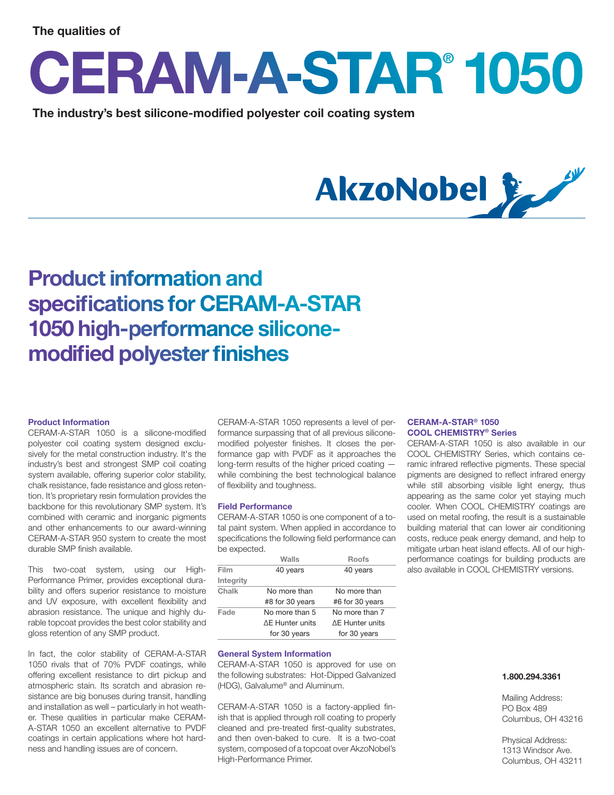# **The qualities of**

# **CERAM-A-STAR® 1050**

The industry's best silicone-modified polyester coil coating system



# **Product information and specifications for CERAM-A-STAR 1050 high-performance siliconemodified polyester finishes**

### **Product Information**

CERAM-A-STAR 1050 is a silicone-modified polyester coil coating system designed exclusively for the metal construction industry. It's the industry's best and strongest SMP coil coating system available, offering superior color stability, chalk resistance, fade resistance and gloss retention. It's proprietary resin formulation provides the backbone for this revolutionary SMP system. It's combined with ceramic and inorganic pigments and other enhancements to our award-winning CERAM-A-STAR 950 system to create the most durable SMP finish available.

This two-coat system, using our High-Performance Primer, provides exceptional durability and offers superior resistance to moisture and UV exposure, with excellent flexibility and abrasion resistance. The unique and highly durable topcoat provides the best color stability and gloss retention of any SMP product.

In fact, the color stability of CERAM-A-STAR 1050 rivals that of 70% PVDF coatings, while offering excellent resistance to dirt pickup and atmospheric stain. Its scratch and abrasion resistance are big bonuses during transit, handling and installation as well – particularly in hot weather. These qualities in particular make CERAM-A-STAR 1050 an excellent alternative to PVDF coatings in certain applications where hot hardness and handling issues are of concern.

CERAM-A-STAR 1050 represents a level of performance surpassing that of all previous siliconemodified polyester finishes. It closes the performance gap with PVDF as it approaches the long-term results of the higher priced coating while combining the best technological balance of flexibility and toughness.

#### **Field Performance**

CERAM-A-STAR 1050 is one component of a total paint system. When applied in accordance to specifications the following field performance can be expected.

|           | Walls                  | <b>Roofs</b>    |
|-----------|------------------------|-----------------|
| Film      | 40 years               | 40 years        |
| Integrity |                        |                 |
| Chalk     | No more than           | No more than    |
|           | #8 for 30 years        | #6 for 30 years |
| Fade      | No more than 5         | No more than 7  |
|           | <b>AF Hunter units</b> | ΔE Hunter units |
|           | for 30 years           | for 30 years    |

#### **General System Information**

CERAM-A-STAR 1050 is approved for use on the following substrates: Hot-Dipped Galvanized (HDG), Galvalume® and Aluminum.

CERAM-A-STAR 1050 is a factory-applied finish that is applied through roll coating to properly cleaned and pre-treated first-quality substrates, and then oven-baked to cure. It is a two-coat system, composed of a topcoat over AkzoNobel's High-Performance Primer.

# **CERAM-A-STAR® 1050 COOL CHEMISTRY® Series**

CERAM-A-STAR 1050 is also available in our COOL CHEMISTRY Series, which contains ceramic infrared reflective pigments. These special pigments are designed to reflect infrared energy while still absorbing visible light energy, thus appearing as the same color yet staying much cooler. When COOL CHEMISTRY coatings are used on metal roofing, the result is a sustainable building material that can lower air conditioning costs, reduce peak energy demand, and help to mitigate urban heat island effects. All of our highperformance coatings for building products are also available in COOL CHEMISTRY versions.

## **1.800.294.3361**

Mailing Address: PO Box 489 Columbus, OH 43216

Physical Address: 1313 Windsor Ave. Columbus, OH 43211